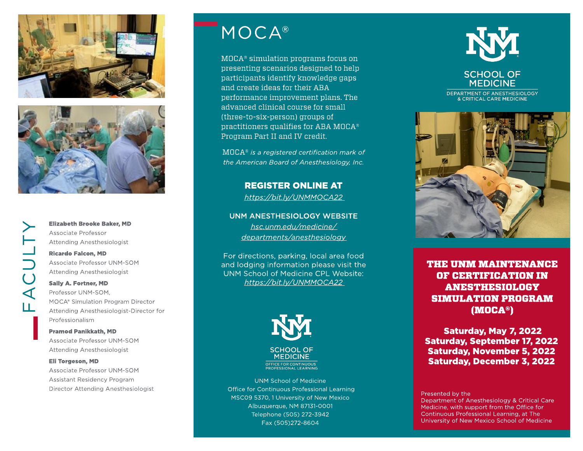



Elizabeth Brooke Baker, MD Associate Professor Attending Anesthesiologist

#### Ricardo Falcon, MD

 Attending Anesthesiologist Associate Professor UNM-SOM

#### Sally A. Fortner, MD

Professor UNM-SOM, MOCA® Simulation Program Director Attending Anesthesiologist-Director for Professionalism

### Pramod Panikkath, MD Associate Professor UNM-SOM Attending Anesthesiologist

#### Eli Torgeson, MD

Associate Professor UNM-SOM Assistant Residency Program Director Attending Anesthesiologist

# MOCA®

 $MOCA^*$  simulation programs focus on presenting scenarios designed to help participants identify knowledge gaps and create ideas for their ABA performance improvement plans. The advanced clinical course for small (three-to-six-person) groups of practitioners qualifies for ABA MOCA<sup>®</sup> Program Part II and IV credit.

M OCA®**is a registered certification mark of the American Board of Anesthesiology, Inc.**

> REGISTER ONLINE AT **https:// bit.ly/ [UNMMOCA22](https://hsc.unm.edu/medicine/education/cpl/learn/cme-conferences/moca2022.html)**

UNM ANESTHESIOLOGY WEBSITE **[hsc.unm.edu/](https://hsc.unm.edu/medicine/departments/anesthesiology/) medicine/ [departments/anesthesiology](https://hsc.unm.edu/medicine/departments/anesthesiology/)**

For directions, parking, local area food and lodging information please visit the UNM School of Medicine CPL Website: **https:// bit.ly/ [UNMMOCA22](https://hsc.unm.edu/medicine/education/cpl/learn/cme-conferences/moca2022.html)**



**MEDICINE** 

UNM School of Medicine Office for Continuous Professional Learning MSC09 5370, 1 University of New Mexico Albuquerque, NM 87131-0001 Telephone (505) 272-3942 Fax (505)272-8604



**MEDICINE** DEPARTMENT OF ANESTHESIOLOGY & CRITICAL CARE MEDICINE



THE UNM MAINTENANCE OF CERTIFICATION IN ANESTHESIOLOGY SIMULATION PROGRAM (M OCA®)

**Saturday, May 7, 2022** Saturday, September 17, 2022 Saturday, November 5, 2022 Saturday, December 3, 2022

Presented by the

Department of Anesthesiology & Critical Care Medicine, with support from the Office for Continuous Professional Learning, at The University of New Mexico School of Medicine